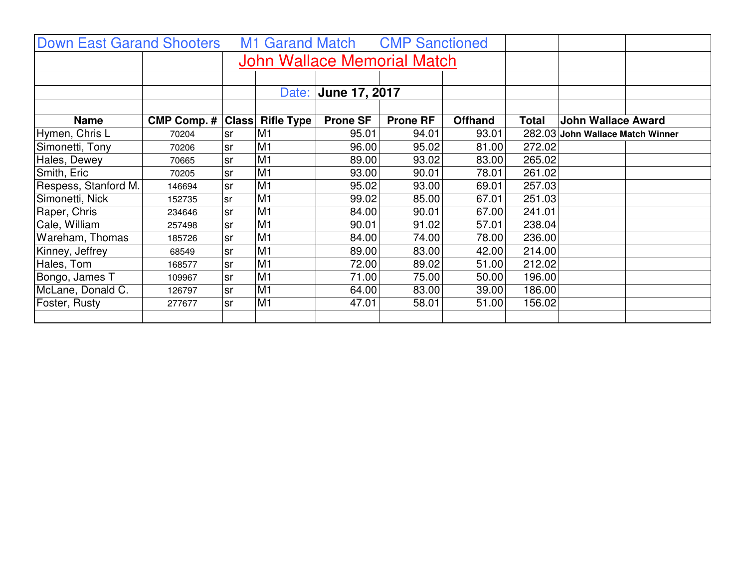| <b>Down East Garand Shooters</b> |                    |                             |                   |                 | M1 Garand Match CMP Sanctioned |                |              |                                  |  |
|----------------------------------|--------------------|-----------------------------|-------------------|-----------------|--------------------------------|----------------|--------------|----------------------------------|--|
|                                  |                    | John Wallace Memorial Match |                   |                 |                                |                |              |                                  |  |
|                                  |                    |                             |                   |                 |                                |                |              |                                  |  |
|                                  |                    |                             | Date:             |                 | June 17, 2017                  |                |              |                                  |  |
|                                  |                    |                             |                   |                 |                                |                |              |                                  |  |
| <b>Name</b>                      | <b>CMP Comp. #</b> | <b>Class</b>                | <b>Rifle Type</b> | <b>Prone SF</b> | <b>Prone RF</b>                | <b>Offhand</b> | <b>Total</b> | <b>John Wallace Award</b>        |  |
| Hymen, Chris L                   | 70204              | <b>sr</b>                   | M <sub>1</sub>    | 95.01           | 94.01                          | 93.01          | 282.03       | <b>John Wallace Match Winner</b> |  |
| Simonetti, Tony                  | 70206              | lsr                         | M <sub>1</sub>    | 96.00           | 95.02                          | 81.00          | 272.02       |                                  |  |
| Hales, Dewey                     | 70665              | <b>sr</b>                   | M <sub>1</sub>    | 89.00           | 93.02                          | 83.00          | 265.02       |                                  |  |
| Smith, Eric                      | 70205              | lsr                         | M <sub>1</sub>    | 93.00           | 90.01                          | 78.01          | 261.02       |                                  |  |
| Respess, Stanford M.             | 146694             | lsr                         | M <sub>1</sub>    | 95.02           | 93.00                          | 69.01          | 257.03       |                                  |  |
| Simonetti, Nick                  | 152735             | <b>sr</b>                   | M1                | 99.02           | 85.00                          | 67.01          | 251.03       |                                  |  |
| Raper, Chris                     | 234646             | lsr                         | M <sub>1</sub>    | 84.00           | 90.01                          | 67.00          | 241.01       |                                  |  |
| Cale, William                    | 257498             | lsr                         | M1                | 90.01           | 91.02                          | 57.01          | 238.04       |                                  |  |
| Wareham, Thomas                  | 185726             | lsr                         | M <sub>1</sub>    | 84.00           | 74.00                          | 78.00          | 236.00       |                                  |  |
| Kinney, Jeffrey                  | 68549              | lsr                         | M <sub>1</sub>    | 89.00           | 83.00                          | 42.00          | 214.00       |                                  |  |
| Hales, Tom                       | 168577             | lsr                         | M1                | 72.00           | 89.02                          | 51.00          | 212.02       |                                  |  |
| Bongo, James T                   | 109967             | lsr                         | M <sub>1</sub>    | 71.00           | 75.00                          | 50.00          | 196.00       |                                  |  |
| McLane, Donald C.                | 126797             | <b>sr</b>                   | M <sub>1</sub>    | 64.00           | 83.00                          | 39.00          | 186.00       |                                  |  |
| Foster, Rusty                    | 277677             | lsr                         | M <sub>1</sub>    | 47.01           | 58.01                          | 51.00          | 156.02       |                                  |  |
|                                  |                    |                             |                   |                 |                                |                |              |                                  |  |